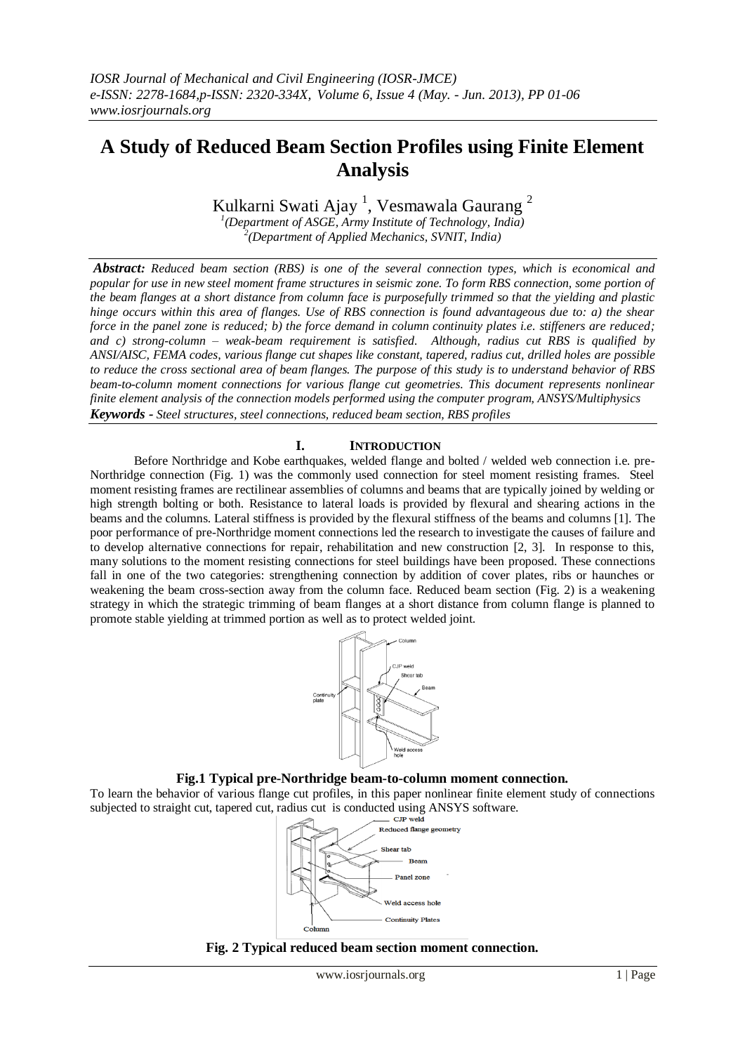# **A Study of Reduced Beam Section Profiles using Finite Element Analysis**

Kulkarni Swati Ajay<sup>1</sup>, Vesmawala Gaurang<sup>2</sup>

*1 (Department of ASGE, Army Institute of Technology, India) 2 (Department of Applied Mechanics, SVNIT, India)*

*Abstract: Reduced beam section (RBS) is one of the several connection types, which is economical and popular for use in new steel moment frame structures in seismic zone. To form RBS connection, some portion of the beam flanges at a short distance from column face is purposefully trimmed so that the yielding and plastic hinge occurs within this area of flanges. Use of RBS connection is found advantageous due to: a) the shear force in the panel zone is reduced; b) the force demand in column continuity plates i.e. stiffeners are reduced; and c) strong-column – weak-beam requirement is satisfied. Although, radius cut RBS is qualified by ANSI/AISC, FEMA codes, various flange cut shapes like constant, tapered, radius cut, drilled holes are possible to reduce the cross sectional area of beam flanges. The purpose of this study is to understand behavior of RBS beam-to-column moment connections for various flange cut geometries. This document represents nonlinear finite element analysis of the connection models performed using the computer program, ANSYS/Multiphysics Keywords - Steel structures, steel connections, reduced beam section, RBS profiles*

# **I. INTRODUCTION**

 Before Northridge and Kobe earthquakes, welded flange and bolted / welded web connection i.e. pre-Northridge connection (Fig. 1) was the commonly used connection for steel moment resisting frames. Steel moment resisting frames are rectilinear assemblies of columns and beams that are typically joined by welding or high strength bolting or both. Resistance to lateral loads is provided by flexural and shearing actions in the beams and the columns. Lateral stiffness is provided by the flexural stiffness of the beams and columns [1]. The poor performance of pre-Northridge moment connections led the research to investigate the causes of failure and to develop alternative connections for repair, rehabilitation and new construction [2, 3]. In response to this, many solutions to the moment resisting connections for steel buildings have been proposed. These connections fall in one of the two categories: strengthening connection by addition of cover plates, ribs or haunches or weakening the beam cross-section away from the column face. Reduced beam section (Fig. 2) is a weakening strategy in which the strategic trimming of beam flanges at a short distance from column flange is planned to promote stable yielding at trimmed portion as well as to protect welded joint.



#### **Fig.1 Typical pre-Northridge beam-to-column moment connection.**

To learn the behavior of various flange cut profiles, in this paper nonlinear finite element study of connections subjected to straight cut, tapered cut, radius cut is conducted using ANSYS software.



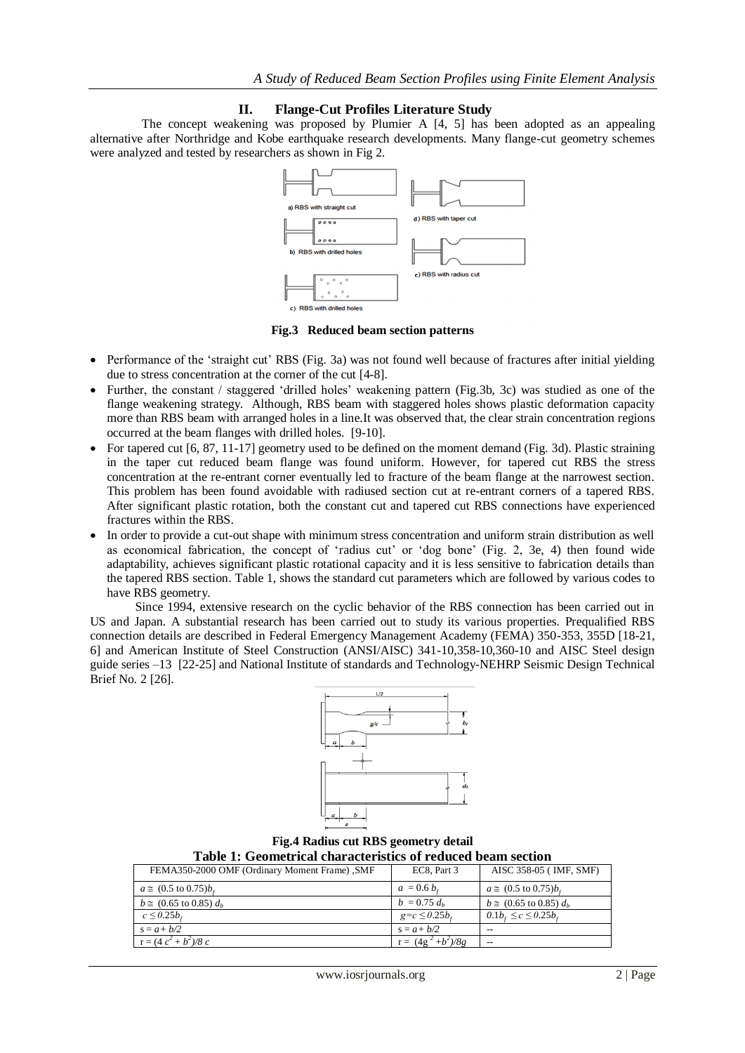# **II. Flange-Cut Profiles Literature Study**

 The concept weakening was proposed by Plumier A [4, 5] has been adopted as an appealing alternative after Northridge and Kobe earthquake research developments. Many flange-cut geometry schemes were analyzed and tested by researchers as shown in Fig 2.



**Fig.3 Reduced beam section patterns**

- Performance of the 'straight cut' RBS (Fig. 3a) was not found well because of fractures after initial yielding due to stress concentration at the corner of the cut [4-8].
- Further, the constant / staggered 'drilled holes' weakening pattern (Fig.3b, 3c) was studied as one of the flange weakening strategy. Although, RBS beam with staggered holes shows plastic deformation capacity more than RBS beam with arranged holes in a line.It was observed that, the clear strain concentration regions occurred at the beam flanges with drilled holes. [9-10].
- For tapered cut  $[6, 87, 11-17]$  geometry used to be defined on the moment demand (Fig. 3d). Plastic straining in the taper cut reduced beam flange was found uniform. However, for tapered cut RBS the stress concentration at the re-entrant corner eventually led to fracture of the beam flange at the narrowest section. This problem has been found avoidable with radiused section cut at re-entrant corners of a tapered RBS. After significant plastic rotation, both the constant cut and tapered cut RBS connections have experienced fractures within the RBS.
- In order to provide a cut-out shape with minimum stress concentration and uniform strain distribution as well as economical fabrication, the concept of 'radius cut' or 'dog bone' (Fig. 2, 3e, 4) then found wide adaptability, achieves significant plastic rotational capacity and it is less sensitive to fabrication details than the tapered RBS section. Table 1, shows the standard cut parameters which are followed by various codes to have RBS geometry.

Since 1994, extensive research on the cyclic behavior of the RBS connection has been carried out in US and Japan. A substantial research has been carried out to study its various properties. Prequalified RBS connection details are described in Federal Emergency Management Academy (FEMA) 350-353, 355D [18-21, 6] and American Institute of Steel Construction (ANSI/AISC) 341-10,358-10,360-10 and AISC Steel design guide series –13 [22-25] and National Institute of standards and Technology-NEHRP Seismic Design Technical Brief No. 2 [26].



**Fig.4 Radius cut RBS geometry detail Table 1: Geometrical characteristics of reduced beam section**

| Table 1: Geometrical characteristics of reduced beam section |                       |                                         |  |  |  |
|--------------------------------------------------------------|-----------------------|-----------------------------------------|--|--|--|
| FEMA350-2000 OMF (Ordinary Moment Frame), SMF                | EC8, Part 3           | AISC 358-05 (IMF, SMF)                  |  |  |  |
| $a \approx (0.5 \text{ to } 0.75)b_x$                        | $a = 0.6 b$           | $a \approx (0.5 \text{ to } 0.75)b$ .   |  |  |  |
| $b \approx (0.65 \text{ to } 0.85) d_h$                      | $b = 0.75 d_h$        | $b \approx (0.65 \text{ to } 0.85) d_h$ |  |  |  |
| $c \leq 0.25b$                                               | $g = c \leq 0.25b$    | $0.1b_{c} \leq c \leq 0.25b_{c}$        |  |  |  |
| $s = a + b/2$                                                | $s = a + b/2$         |                                         |  |  |  |
| $r = (4c^2 + b^2)/8c$                                        | $r = (4g^2 + b^2)/8g$ | $- -$                                   |  |  |  |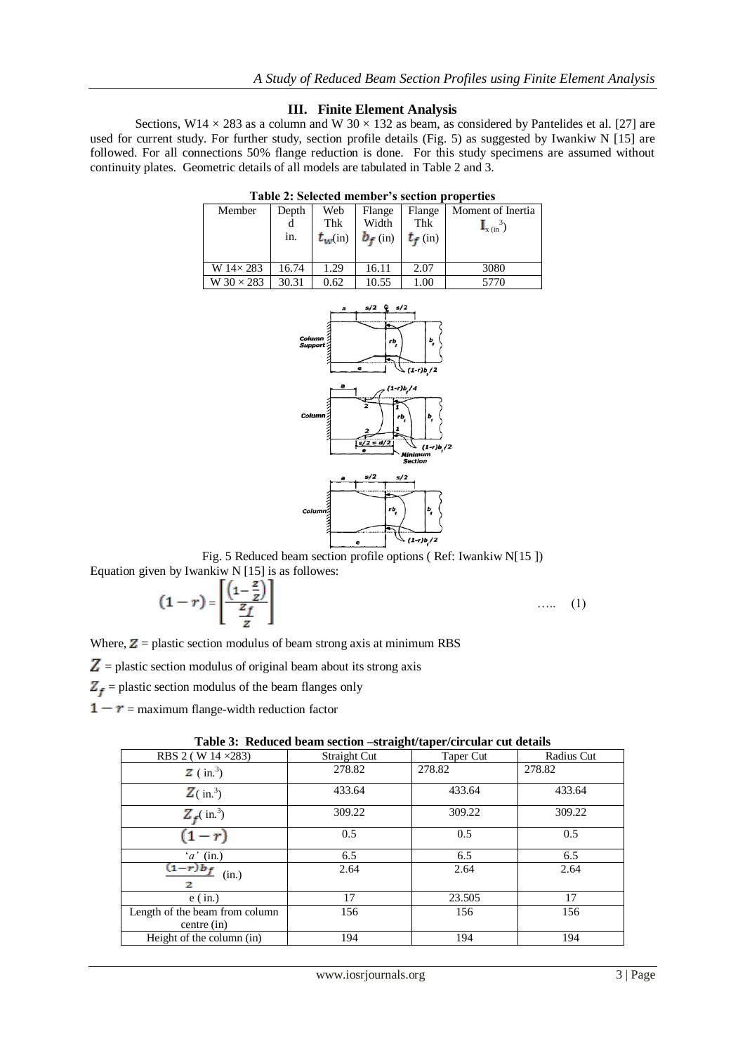## **III. Finite Element Analysis**

Sections,  $W14 \times 283$  as a column and W 30  $\times$  132 as beam, as considered by Pantelides et al. [27] are used for current study. For further study, section profile details (Fig. 5) as suggested by Iwankiw N [15] are followed. For all connections 50% flange reduction is done. For this study specimens are assumed without continuity plates. Geometric details of all models are tabulated in Table 2 and 3.

| таріс 2. эсісски піснюст з эсспон ргорсі пез |       |              |            |            |                                      |  |  |
|----------------------------------------------|-------|--------------|------------|------------|--------------------------------------|--|--|
| Member                                       | Depth | Web          | Flange     | Flange     | Moment of Inertia                    |  |  |
|                                              |       | Thk          | Width      | Thk        | $\mathbf{I}_{\mathbf{x}(\text{in})}$ |  |  |
|                                              | in.   | $t_{w}$ (in) | $b_f$ (in) | $t_f$ (in) |                                      |  |  |
|                                              |       |              |            |            |                                      |  |  |
|                                              |       |              |            |            |                                      |  |  |
| W $14\times 283$                             | 16.74 | 1.29         | 16.11      | 2.07       | 3080                                 |  |  |
| W $30 \times 283$                            | 30.31 | 0.62         | 10.55      | 1.00       | 5770                                 |  |  |

**Table 2: Selected member's section properties**



Fig. 5 Reduced beam section profile options ( Ref: Iwankiw N[15 ]) Equation given by Iwankiw N [15] is as followes:

$$
(1-r) = \left[\frac{\left(1-\frac{z}{z}\right)}{\frac{z_f}{z}}\right]
$$

 $\ldots$  (1)

Where,  $Z =$  plastic section modulus of beam strong axis at minimum RBS

 $Z =$  plastic section modulus of original beam about its strong axis

 $Z_f$  = plastic section modulus of the beam flanges only

 $1 - r =$  maximum flange-width reduction factor

| Tuble of Treatera beam becaused bu algun inperfectation can actumb |              |           |            |  |  |  |  |  |
|--------------------------------------------------------------------|--------------|-----------|------------|--|--|--|--|--|
| RBS 2 (W 14 $\times$ 283)                                          | Straight Cut | Taper Cut | Radius Cut |  |  |  |  |  |
| $\mathbf{Z}$ (in. <sup>3</sup> )                                   | 278.82       | 278.82    | 278.82     |  |  |  |  |  |
| $\mathbf{Z}$ (in. <sup>3</sup> )                                   | 433.64       | 433.64    | 433.64     |  |  |  |  |  |
| $Z_f$ (in. <sup>3</sup> )                                          | 309.22       | 309.22    | 309.22     |  |  |  |  |  |
| $(1-r)$                                                            | 0.5          | 0.5       | 0.5        |  |  |  |  |  |
| $'a'$ (in.)                                                        | 6.5          | 6.5       | 6.5        |  |  |  |  |  |
| $(1-r)b_f$<br>(in.)<br>2                                           | 2.64         | 2.64      | 2.64       |  |  |  |  |  |
| $e$ (in.)                                                          | 17           | 23.505    | 17         |  |  |  |  |  |
| Length of the beam from column<br>centre (in)                      | 156          | 156       | 156        |  |  |  |  |  |
| Height of the column (in)                                          | 194          | 194       | 194        |  |  |  |  |  |

**Table 3: Reduced beam section –straight/taper/circular cut details**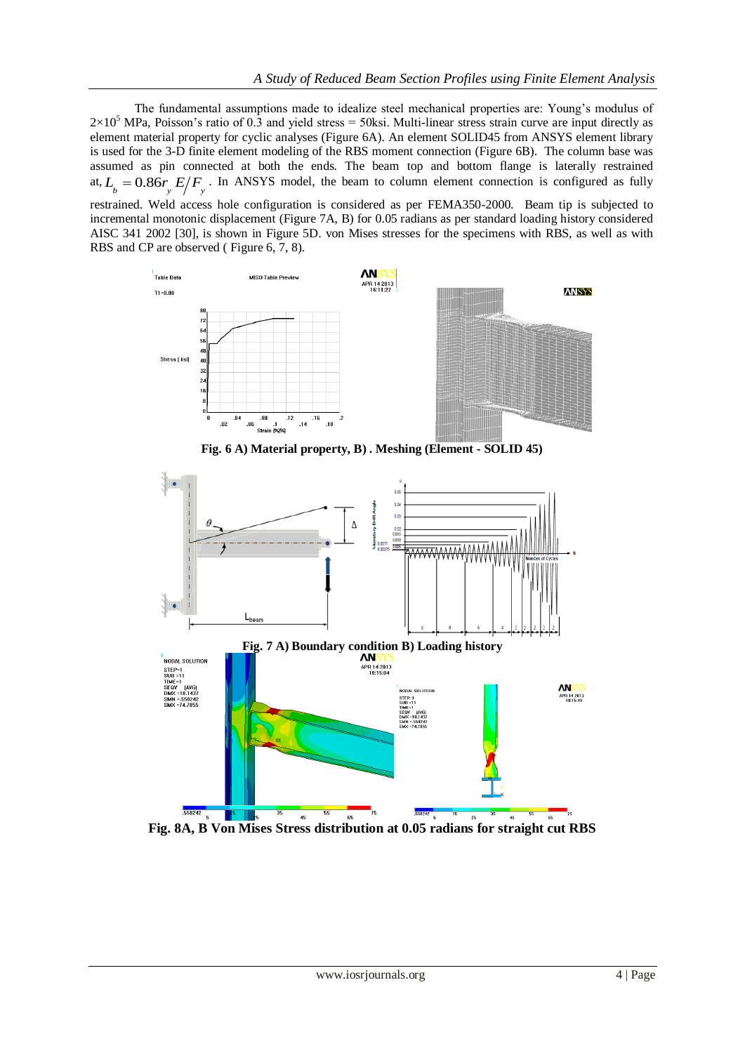The fundamental assumptions made to idealize steel mechanical properties are: Young's modulus of  $2\times10^5$  MPa, Poisson's ratio of 0.3 and yield stress = 50ksi. Multi-linear stress strain curve are input directly as element material property for cyclic analyses (Figure 6A). An element SOLID45 from ANSYS element library is used for the 3-D finite element modeling of the RBS moment connection (Figure 6B). The column base was assumed as pin connected at both the ends. The beam top and bottom flange is laterally restrained at,  $L_b = 0.86r_y E/F_y$ . In ANSYS model, the beam to column element connection is configured as fully

restrained. Weld access hole configuration is considered as per FEMA350-2000. Beam tip is subjected to incremental monotonic displacement (Figure 7A, B) for 0.05 radians as per standard loading history considered AISC 341 2002 [30], is shown in Figure 5D. von Mises stresses for the specimens with RBS, as well as with RBS and CP are observed ( Figure 6, 7, 8).



**Fig. 6 A) Material property, B) . Meshing (Element - SOLID 45)**



**Fig. 8A, B Von Mises Stress distribution at 0.05 radians for straight cut RBS**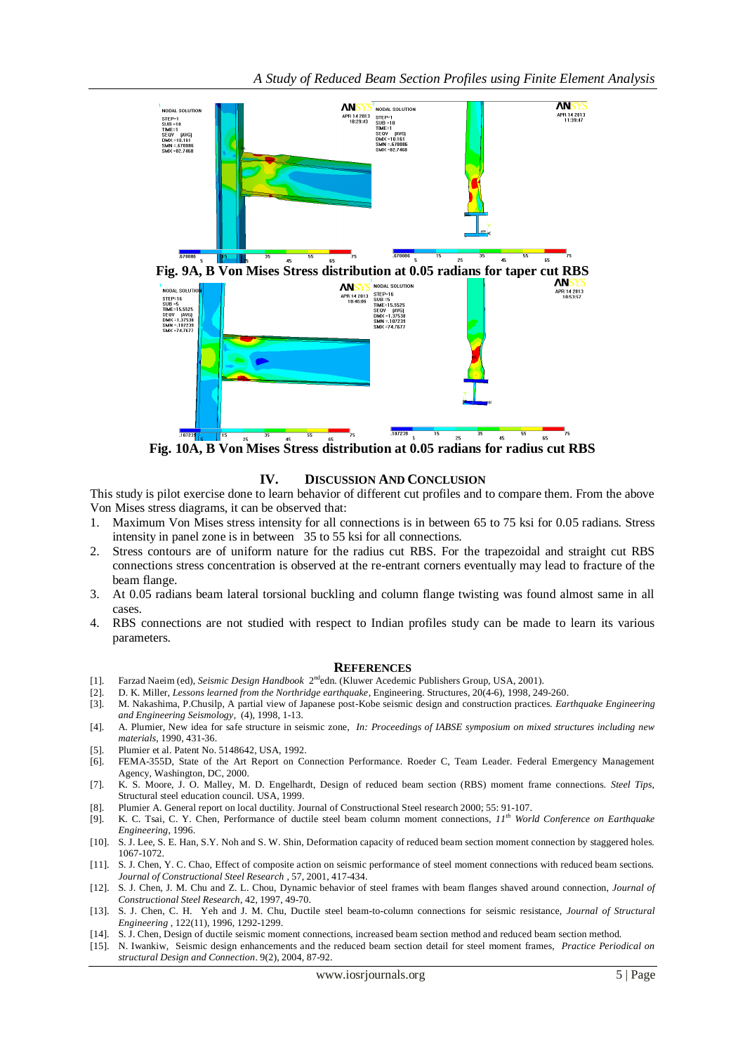

**Fig. 10A, B Von Mises Stress distribution at 0.05 radians for radius cut RBS**

## **IV. DISCUSSION AND CONCLUSION**

This study is pilot exercise done to learn behavior of different cut profiles and to compare them. From the above Von Mises stress diagrams, it can be observed that:

- 1. Maximum Von Mises stress intensity for all connections is in between 65 to 75 ksi for 0.05 radians. Stress intensity in panel zone is in between 35 to 55 ksi for all connections.
- 2. Stress contours are of uniform nature for the radius cut RBS. For the trapezoidal and straight cut RBS connections stress concentration is observed at the re-entrant corners eventually may lead to fracture of the beam flange.
- 3. At 0.05 radians beam lateral torsional buckling and column flange twisting was found almost same in all cases.
- 4. RBS connections are not studied with respect to Indian profiles study can be made to learn its various parameters.

#### **REFERENCES**

- [1]. Farzad Naeim (ed), *Seismic Design Handbook* 2<sup>nd</sup>edn. (Kluwer Acedemic Publishers Group, USA, 2001).
- [2]. D. K. Miller, *Lessons learned from the Northridge earthquake*, Engineering. Structures, 20(4-6), 1998, 249-260.
- [3]. M. Nakashima, P.Chusilp, A partial view of Japanese post-Kobe seismic design and construction practices. *Earthquake Engineering and Engineering Seismology*, (4), 1998, 1-13.
- [4]. A. Plumier, New idea for safe structure in seismic zone, *In: Proceedings of IABSE symposium on mixed structures including new materials*, 1990, 431-36.
- [5]. Plumier et al. Patent No. 5148642, USA, 1992.
- [6]. FEMA-355D, State of the Art Report on Connection Performance. Roeder C, Team Leader. Federal Emergency Management Agency, Washington, DC, 2000.
- [7]. K. S. Moore, J. O. Malley, M. D. Engelhardt, Design of reduced beam section (RBS) moment frame connections. *Steel Tips*, Structural steel education council. USA, 1999.
- [8]. Plumier A. General report on local ductility. Journal of Constructional Steel research 2000; 55: 91-107.
- [9]. K. C. Tsai, C. Y. Chen, Performance of ductile steel beam column moment connections, *11th World Conference on Earthquake Engineering*, 1996.
- [10]. S. J. Lee, S. E. Han, S.Y. Noh and S. W. Shin, Deformation capacity of reduced beam section moment connection by staggered holes. 1067-1072.
- [11]. S. J. Chen, Y. C. Chao, Effect of composite action on seismic performance of steel moment connections with reduced beam sections. *Journal of Constructional Steel Research* , 57, 2001, 417-434.
- [12]. S. J. Chen, J. M. Chu and Z. L. Chou, Dynamic behavior of steel frames with beam flanges shaved around connection, *Journal of Constructional Steel Research*, 42, 1997, 49-70.
- [13]. S. J. Chen, C. H. Yeh and J. M. Chu, Ductile steel beam-to-column connections for seismic resistance, *Journal of Structural Engineering* , 122(11), 1996, 1292-1299.
- [14]. S. J. Chen, Design of ductile seismic moment connections, increased beam section method and reduced beam section method.
- [15]. N. Iwankiw, Seismic design enhancements and the reduced beam section detail for steel moment frames, *Practice Periodical on structural Design and Connection*. 9(2), 2004, 87-92.